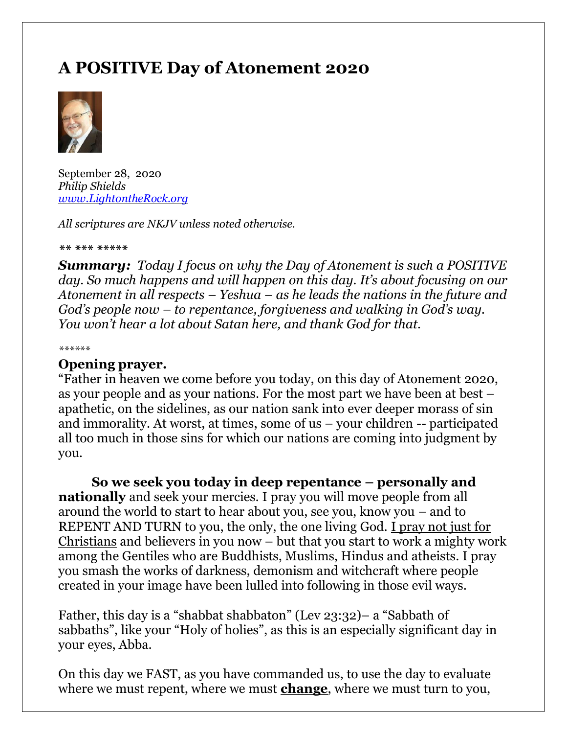# **A POSITIVE Day of Atonement 2020**



September 28, 2020 *Philip Shields [www.LightontheRock.org](http://www.lightontherock.org/)*

*All scriptures are NKJV unless noted otherwise.* 

*\*\* \*\*\* \*\*\*\*\** 

*Summary: Today I focus on why the Day of Atonement is such a POSITIVE day. So much happens and will happen on this day. It's about focusing on our Atonement in all respects – Yeshua – as he leads the nations in the future and God's people now – to repentance, forgiveness and walking in God's way. You won't hear a lot about Satan here, and thank God for that.* 

*\*\*\*\*\*\** 

#### **Opening prayer.**

"Father in heaven we come before you today, on this day of Atonement 2020, as your people and as your nations. For the most part we have been at best – apathetic, on the sidelines, as our nation sank into ever deeper morass of sin and immorality. At worst, at times, some of us – your children -- participated all too much in those sins for which our nations are coming into judgment by you.

**So we seek you today in deep repentance – personally and nationally** and seek your mercies. I pray you will move people from all around the world to start to hear about you, see you, know you – and to REPENT AND TURN to you, the only, the one living God. I pray not just for Christians and believers in you now – but that you start to work a mighty work among the Gentiles who are Buddhists, Muslims, Hindus and atheists. I pray you smash the works of darkness, demonism and witchcraft where people created in your image have been lulled into following in those evil ways.

Father, this day is a "shabbat shabbaton" (Lev 23:32)– a "Sabbath of sabbaths", like your "Holy of holies", as this is an especially significant day in your eyes, Abba.

On this day we FAST, as you have commanded us, to use the day to evaluate where we must repent, where we must **change**, where we must turn to you,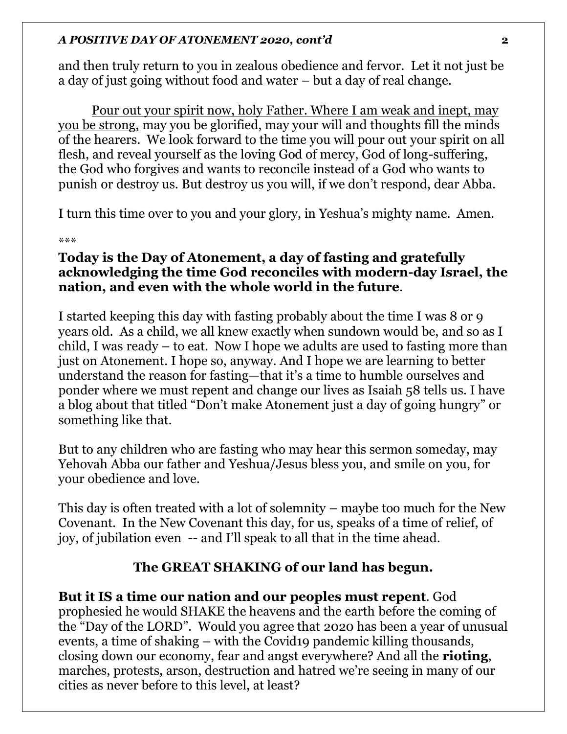and then truly return to you in zealous obedience and fervor. Let it not just be a day of just going without food and water – but a day of real change.

Pour out your spirit now, holy Father. Where I am weak and inept, may you be strong, may you be glorified, may your will and thoughts fill the minds of the hearers. We look forward to the time you will pour out your spirit on all flesh, and reveal yourself as the loving God of mercy, God of long-suffering, the God who forgives and wants to reconcile instead of a God who wants to punish or destroy us. But destroy us you will, if we don't respond, dear Abba.

I turn this time over to you and your glory, in Yeshua's mighty name. Amen.

\*\*\*

## **Today is the Day of Atonement, a day of fasting and gratefully acknowledging the time God reconciles with modern-day Israel, the nation, and even with the whole world in the future**.

I started keeping this day with fasting probably about the time I was 8 or 9 years old. As a child, we all knew exactly when sundown would be, and so as I child, I was ready – to eat. Now I hope we adults are used to fasting more than just on Atonement. I hope so, anyway. And I hope we are learning to better understand the reason for fasting—that it's a time to humble ourselves and ponder where we must repent and change our lives as Isaiah 58 tells us. I have a blog about that titled "Don't make Atonement just a day of going hungry" or something like that.

But to any children who are fasting who may hear this sermon someday, may Yehovah Abba our father and Yeshua/Jesus bless you, and smile on you, for your obedience and love.

This day is often treated with a lot of solemnity – maybe too much for the New Covenant. In the New Covenant this day, for us, speaks of a time of relief, of joy, of jubilation even -- and I'll speak to all that in the time ahead.

# **The GREAT SHAKING of our land has begun.**

**But it IS a time our nation and our peoples must repent**. God prophesied he would SHAKE the heavens and the earth before the coming of the "Day of the LORD". Would you agree that 2020 has been a year of unusual events, a time of shaking – with the Covid19 pandemic killing thousands, closing down our economy, fear and angst everywhere? And all the **rioting**, marches, protests, arson, destruction and hatred we're seeing in many of our cities as never before to this level, at least?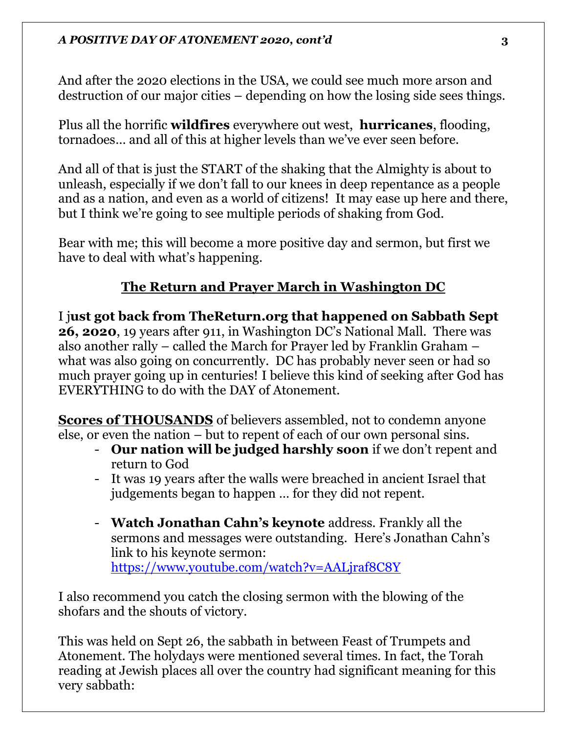And after the 2020 elections in the USA, we could see much more arson and destruction of our major cities – depending on how the losing side sees things.

Plus all the horrific **wildfires** everywhere out west, **hurricanes**, flooding, tornadoes… and all of this at higher levels than we've ever seen before.

And all of that is just the START of the shaking that the Almighty is about to unleash, especially if we don't fall to our knees in deep repentance as a people and as a nation, and even as a world of citizens! It may ease up here and there, but I think we're going to see multiple periods of shaking from God.

Bear with me; this will become a more positive day and sermon, but first we have to deal with what's happening.

# **The Return and Prayer March in Washington DC**

I j**ust got back from TheReturn.org that happened on Sabbath Sept 26, 2020**, 19 years after 911, in Washington DC's National Mall. There was also another rally – called the March for Prayer led by Franklin Graham – what was also going on concurrently. DC has probably never seen or had so much prayer going up in centuries! I believe this kind of seeking after God has EVERYTHING to do with the DAY of Atonement.

**Scores of THOUSANDS** of believers assembled, not to condemn anyone else, or even the nation – but to repent of each of our own personal sins.

- **Our nation will be judged harshly soon** if we don't repent and return to God
- It was 19 years after the walls were breached in ancient Israel that judgements began to happen … for they did not repent.
- **Watch Jonathan Cahn's keynote** address. Frankly all the sermons and messages were outstanding. Here's Jonathan Cahn's link to his keynote sermon: <https://www.youtube.com/watch?v=AALjraf8C8Y>

I also recommend you catch the closing sermon with the blowing of the shofars and the shouts of victory.

This was held on Sept 26, the sabbath in between Feast of Trumpets and Atonement. The holydays were mentioned several times. In fact, the Torah reading at Jewish places all over the country had significant meaning for this very sabbath: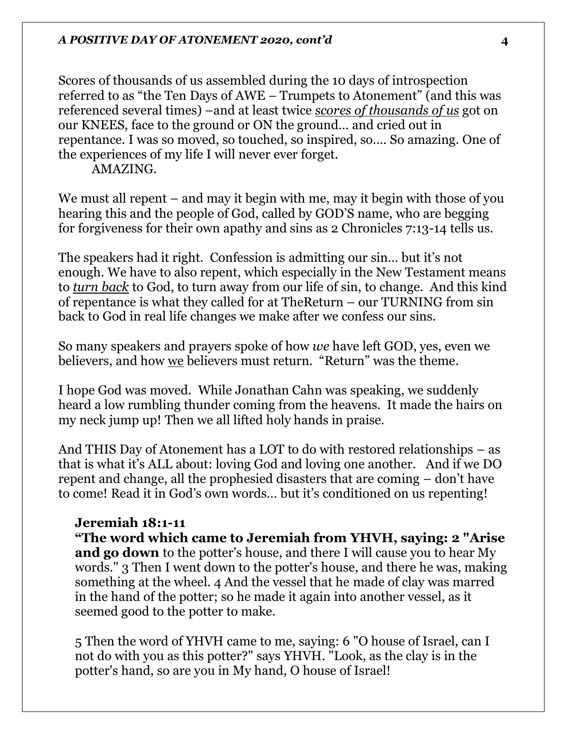Scores of thousands of us assembled during the 10 days of introspection referred to as "the Ten Days of AWE – Trumpets to Atonement" (and this was referenced several times) –and at least twice *scores of thousands of us* got on our KNEES, face to the ground or ON the ground… and cried out in repentance. I was so moved, so touched, so inspired, so…. So amazing. One of the experiences of my life I will never ever forget.

AMAZING.

We must all repent – and may it begin with me, may it begin with those of you hearing this and the people of God, called by GOD'S name, who are begging for forgiveness for their own apathy and sins as 2 Chronicles 7:13-14 tells us.

The speakers had it right. Confession is admitting our sin… but it's not enough. We have to also repent, which especially in the New Testament means to *turn back* to God, to turn away from our life of sin, to change. And this kind of repentance is what they called for at TheReturn – our TURNING from sin back to God in real life changes we make after we confess our sins.

So many speakers and prayers spoke of how *we* have left GOD, yes, even we believers, and how we believers must return. "Return" was the theme.

I hope God was moved. While Jonathan Cahn was speaking, we suddenly heard a low rumbling thunder coming from the heavens. It made the hairs on my neck jump up! Then we all lifted holy hands in praise.

And THIS Day of Atonement has a LOT to do with restored relationships – as that is what it's ALL about: loving God and loving one another. And if we DO repent and change, all the prophesied disasters that are coming – don't have to come! Read it in God's own words… but it's conditioned on us repenting!

#### **Jeremiah 18:1-11**

**"The word which came to Jeremiah from YHVH, saying: 2 "Arise and go down** to the potter's house, and there I will cause you to hear My words." 3 Then I went down to the potter's house, and there he was, making something at the wheel. 4 And the vessel that he made of clay was marred in the hand of the potter; so he made it again into another vessel, as it seemed good to the potter to make.

5 Then the word of YHVH came to me, saying: 6 "O house of Israel, can I not do with you as this potter?" says YHVH. "Look, as the clay is in the potter's hand, so are you in My hand, O house of Israel!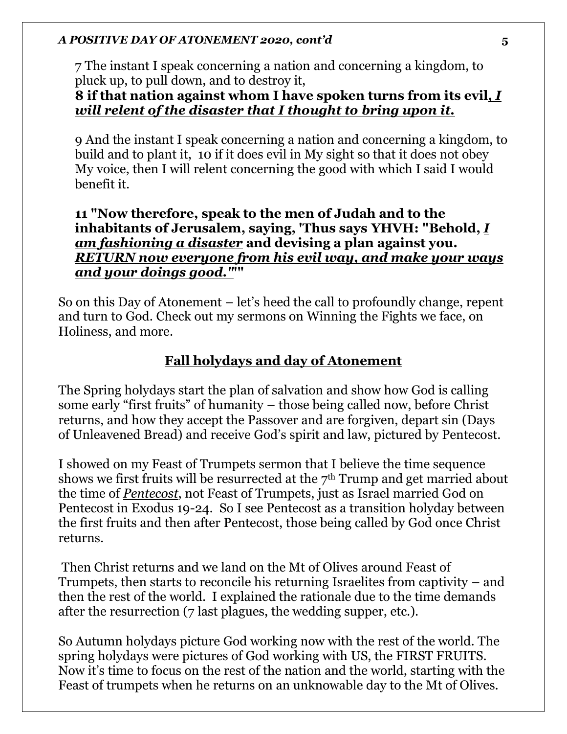7 The instant I speak concerning a nation and concerning a kingdom, to pluck up, to pull down, and to destroy it,

### **8 if that nation against whom I have spoken turns from its evil***, I will relent of the disaster that I thought to bring upon it.*

9 And the instant I speak concerning a nation and concerning a kingdom, to build and to plant it, 10 if it does evil in My sight so that it does not obey My voice, then I will relent concerning the good with which I said I would benefit it.

## **11 "Now therefore, speak to the men of Judah and to the inhabitants of Jerusalem, saying, 'Thus says YHVH: "Behold,** *I am fashioning a disaster* **and devising a plan against you.**  *RETURN now everyone from his evil way, and make your ways and your doings good."***'"**

So on this Day of Atonement – let's heed the call to profoundly change, repent and turn to God. Check out my sermons on Winning the Fights we face, on Holiness, and more.

# **Fall holydays and day of Atonement**

The Spring holydays start the plan of salvation and show how God is calling some early "first fruits" of humanity – those being called now, before Christ returns, and how they accept the Passover and are forgiven, depart sin (Days of Unleavened Bread) and receive God's spirit and law, pictured by Pentecost.

I showed on my Feast of Trumpets sermon that I believe the time sequence shows we first fruits will be resurrected at the 7<sup>th</sup> Trump and get married about the time of *Pentecost*, not Feast of Trumpets, just as Israel married God on Pentecost in Exodus 19-24. So I see Pentecost as a transition holyday between the first fruits and then after Pentecost, those being called by God once Christ returns.

Then Christ returns and we land on the Mt of Olives around Feast of Trumpets, then starts to reconcile his returning Israelites from captivity – and then the rest of the world. I explained the rationale due to the time demands after the resurrection (7 last plagues, the wedding supper, etc.).

So Autumn holydays picture God working now with the rest of the world. The spring holydays were pictures of God working with US, the FIRST FRUITS. Now it's time to focus on the rest of the nation and the world, starting with the Feast of trumpets when he returns on an unknowable day to the Mt of Olives.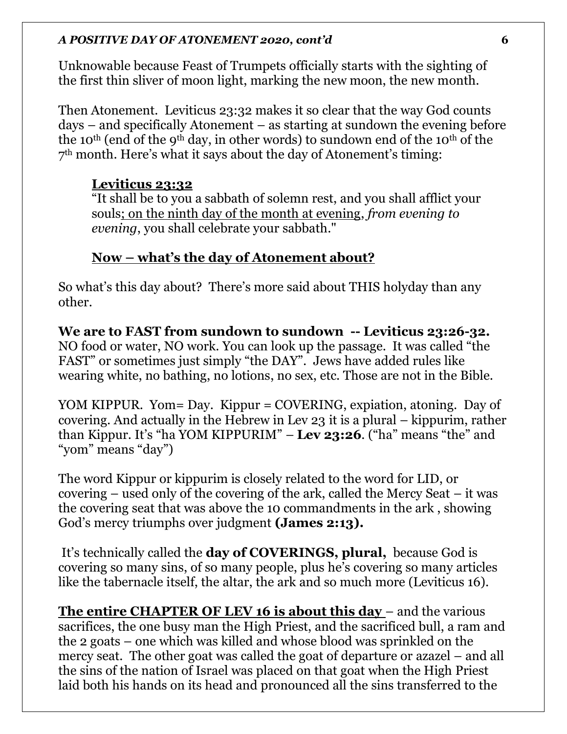Unknowable because Feast of Trumpets officially starts with the sighting of the first thin sliver of moon light, marking the new moon, the new month.

Then Atonement. Leviticus 23:32 makes it so clear that the way God counts days – and specifically Atonement – as starting at sundown the evening before the 10<sup>th</sup> (end of the 9<sup>th</sup> day, in other words) to sundown end of the 10<sup>th</sup> of the 7th month. Here's what it says about the day of Atonement's timing:

# **Leviticus 23:32**

"It shall be to you a sabbath of solemn rest, and you shall afflict your souls; on the ninth day of the month at evening, *from evening to evening*, you shall celebrate your sabbath."

# **Now – what's the day of Atonement about?**

So what's this day about? There's more said about THIS holyday than any other.

**We are to FAST from sundown to sundown -- Leviticus 23:26-32.**  NO food or water, NO work. You can look up the passage. It was called "the FAST" or sometimes just simply "the DAY". Jews have added rules like wearing white, no bathing, no lotions, no sex, etc. Those are not in the Bible.

YOM KIPPUR. Yom= Day. Kippur = COVERING, expiation, atoning. Day of covering. And actually in the Hebrew in Lev 23 it is a plural – kippurim, rather than Kippur. It's "ha YOM KIPPURIM" – **Lev 23:26**. ("ha" means "the" and "yom" means "day")

The word Kippur or kippurim is closely related to the word for LID, or covering – used only of the covering of the ark, called the Mercy Seat – it was the covering seat that was above the 10 commandments in the ark , showing God's mercy triumphs over judgment **(James 2:13).** 

It's technically called the **day of COVERINGS, plural,** because God is covering so many sins, of so many people, plus he's covering so many articles like the tabernacle itself, the altar, the ark and so much more (Leviticus 16).

**The entire CHAPTER OF LEV 16 is about this day – and the various** sacrifices, the one busy man the High Priest, and the sacrificed bull, a ram and the 2 goats – one which was killed and whose blood was sprinkled on the mercy seat. The other goat was called the goat of departure or azazel – and all the sins of the nation of Israel was placed on that goat when the High Priest laid both his hands on its head and pronounced all the sins transferred to the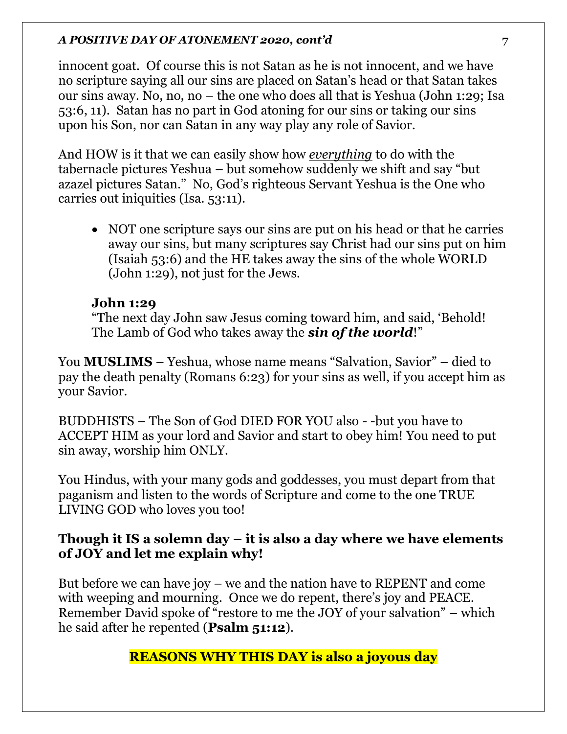innocent goat. Of course this is not Satan as he is not innocent, and we have no scripture saying all our sins are placed on Satan's head or that Satan takes our sins away. No, no, no – the one who does all that is Yeshua (John 1:29; Isa 53:6, 11). Satan has no part in God atoning for our sins or taking our sins upon his Son, nor can Satan in any way play any role of Savior.

And HOW is it that we can easily show how *everything* to do with the tabernacle pictures Yeshua – but somehow suddenly we shift and say "but azazel pictures Satan." No, God's righteous Servant Yeshua is the One who carries out iniquities (Isa. 53:11).

• NOT one scripture says our sins are put on his head or that he carries away our sins, but many scriptures say Christ had our sins put on him (Isaiah 53:6) and the HE takes away the sins of the whole WORLD (John 1:29), not just for the Jews.

### **John 1:29**

"The next day John saw Jesus coming toward him, and said, 'Behold! The Lamb of God who takes away the *sin of the world*!"

You **MUSLIMS** – Yeshua, whose name means "Salvation, Savior" – died to pay the death penalty (Romans 6:23) for your sins as well, if you accept him as your Savior.

BUDDHISTS – The Son of God DIED FOR YOU also - -but you have to ACCEPT HIM as your lord and Savior and start to obey him! You need to put sin away, worship him ONLY.

You Hindus, with your many gods and goddesses, you must depart from that paganism and listen to the words of Scripture and come to the one TRUE LIVING GOD who loves you too!

## **Though it IS a solemn day – it is also a day where we have elements of JOY and let me explain why!**

But before we can have joy – we and the nation have to REPENT and come with weeping and mourning. Once we do repent, there's joy and PEACE. Remember David spoke of "restore to me the JOY of your salvation" – which he said after he repented (**Psalm 51:12**).

# **REASONS WHY THIS DAY is also a joyous day**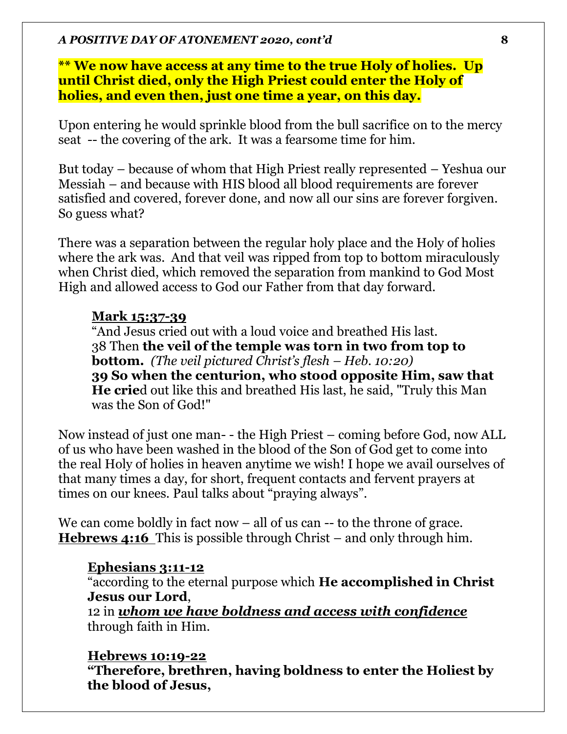**\*\* We now have access at any time to the true Holy of holies. Up until Christ died, only the High Priest could enter the Holy of holies, and even then, just one time a year, on this day.**

Upon entering he would sprinkle blood from the bull sacrifice on to the mercy seat -- the covering of the ark. It was a fearsome time for him.

But today – because of whom that High Priest really represented – Yeshua our Messiah – and because with HIS blood all blood requirements are forever satisfied and covered, forever done, and now all our sins are forever forgiven. So guess what?

There was a separation between the regular holy place and the Holy of holies where the ark was. And that veil was ripped from top to bottom miraculously when Christ died, which removed the separation from mankind to God Most High and allowed access to God our Father from that day forward.

#### **Mark 15:37-39**

"And Jesus cried out with a loud voice and breathed His last. 38 Then **the veil of the temple was torn in two from top to bottom.** *(The veil pictured Christ's flesh – Heb. 10:20)* **39 So when the centurion, who stood opposite Him, saw that He crie**d out like this and breathed His last, he said, "Truly this Man was the Son of God!"

Now instead of just one man- - the High Priest – coming before God, now ALL of us who have been washed in the blood of the Son of God get to come into the real Holy of holies in heaven anytime we wish! I hope we avail ourselves of that many times a day, for short, frequent contacts and fervent prayers at times on our knees. Paul talks about "praying always".

We can come boldly in fact now – all of us can -- to the throne of grace. **Hebrews 4:16** This is possible through Christ – and only through him.

#### **Ephesians 3:11-12**

"according to the eternal purpose which **He accomplished in Christ Jesus our Lord**,

12 in *whom we have boldness and access with confidence* through faith in Him.

### **Hebrews 10:19-22 "Therefore, brethren, having boldness to enter the Holiest by the blood of Jesus,**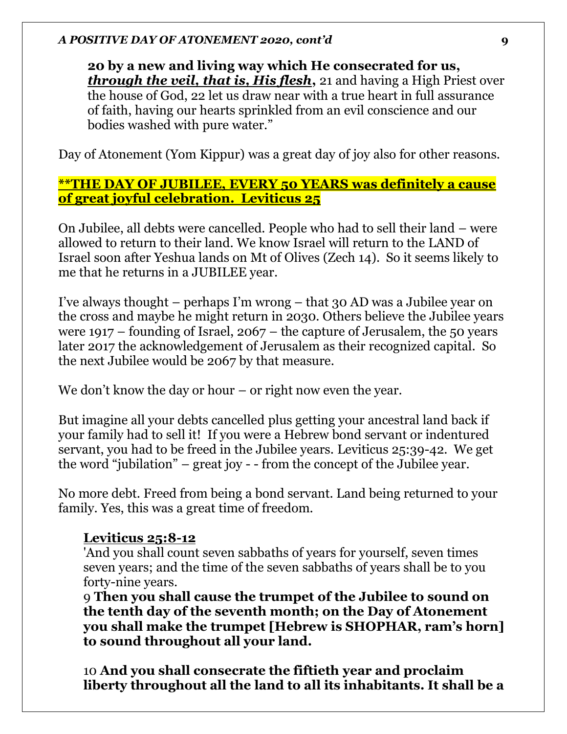**20 by a new and living way which He consecrated for us,**  *through the veil, that is, His flesh***,** 21 and having a High Priest over the house of God, 22 let us draw near with a true heart in full assurance of faith, having our hearts sprinkled from an evil conscience and our bodies washed with pure water."

Day of Atonement (Yom Kippur) was a great day of joy also for other reasons.

## **\*\*THE DAY OF JUBILEE, EVERY 50 YEARS was definitely a cause of great joyful celebration. Leviticus 25**

On Jubilee, all debts were cancelled. People who had to sell their land – were allowed to return to their land. We know Israel will return to the LAND of Israel soon after Yeshua lands on Mt of Olives (Zech 14). So it seems likely to me that he returns in a JUBILEE year.

I've always thought – perhaps I'm wrong – that 30 AD was a Jubilee year on the cross and maybe he might return in 2030. Others believe the Jubilee years were 1917 – founding of Israel, 2067 – the capture of Jerusalem, the 50 years later 2017 the acknowledgement of Jerusalem as their recognized capital. So the next Jubilee would be 2067 by that measure.

We don't know the day or hour – or right now even the year.

But imagine all your debts cancelled plus getting your ancestral land back if your family had to sell it! If you were a Hebrew bond servant or indentured servant, you had to be freed in the Jubilee years. Leviticus 25:39-42. We get the word "jubilation" – great joy - - from the concept of the Jubilee year.

No more debt. Freed from being a bond servant. Land being returned to your family. Yes, this was a great time of freedom.

## **Leviticus 25:8-12**

'And you shall count seven sabbaths of years for yourself, seven times seven years; and the time of the seven sabbaths of years shall be to you forty-nine years.

9 **Then you shall cause the trumpet of the Jubilee to sound on the tenth day of the seventh month; on the Day of Atonement you shall make the trumpet [Hebrew is SHOPHAR, ram's horn] to sound throughout all your land.** 

10 **And you shall consecrate the fiftieth year and proclaim liberty throughout all the land to all its inhabitants. It shall be a**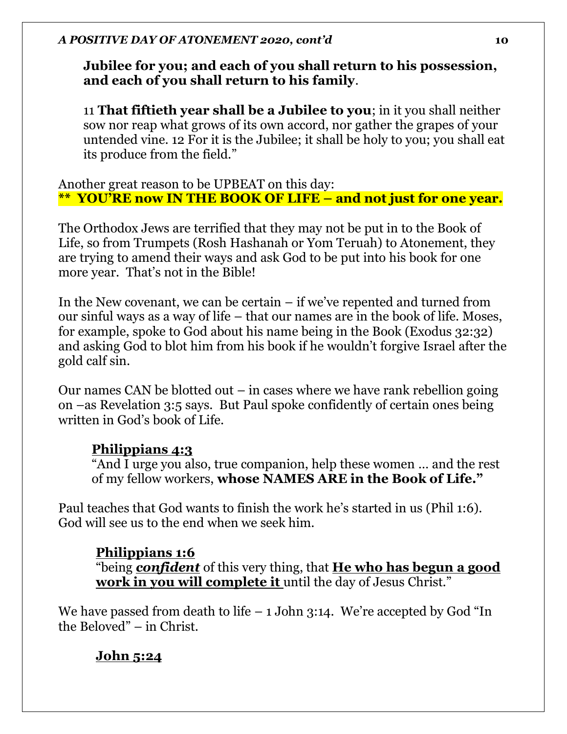# **Jubilee for you; and each of you shall return to his possession, and each of you shall return to his family**.

11 **That fiftieth year shall be a Jubilee to you**; in it you shall neither sow nor reap what grows of its own accord, nor gather the grapes of your untended vine. 12 For it is the Jubilee; it shall be holy to you; you shall eat its produce from the field."

Another great reason to be UPBEAT on this day: **\*\* YOU'RE now IN THE BOOK OF LIFE – and not just for one year.**

The Orthodox Jews are terrified that they may not be put in to the Book of Life, so from Trumpets (Rosh Hashanah or Yom Teruah) to Atonement, they are trying to amend their ways and ask God to be put into his book for one more year. That's not in the Bible!

In the New covenant, we can be certain – if we've repented and turned from our sinful ways as a way of life – that our names are in the book of life. Moses, for example, spoke to God about his name being in the Book (Exodus 32:32) and asking God to blot him from his book if he wouldn't forgive Israel after the gold calf sin.

Our names CAN be blotted out  $-$  in cases where we have rank rebellion going on –as Revelation 3:5 says. But Paul spoke confidently of certain ones being written in God's book of Life.

## **Philippians 4:3**

"And I urge you also, true companion, help these women … and the rest of my fellow workers, **whose NAMES ARE in the Book of Life."**

Paul teaches that God wants to finish the work he's started in us (Phil 1:6). God will see us to the end when we seek him.

# **Philippians 1:6**

"being *confident* of this very thing, that **He who has begun a good work in you will complete it** until the day of Jesus Christ."

We have passed from death to life  $-1$  John 3:14. We're accepted by God "In the Beloved" – in Christ.

# **John 5:24**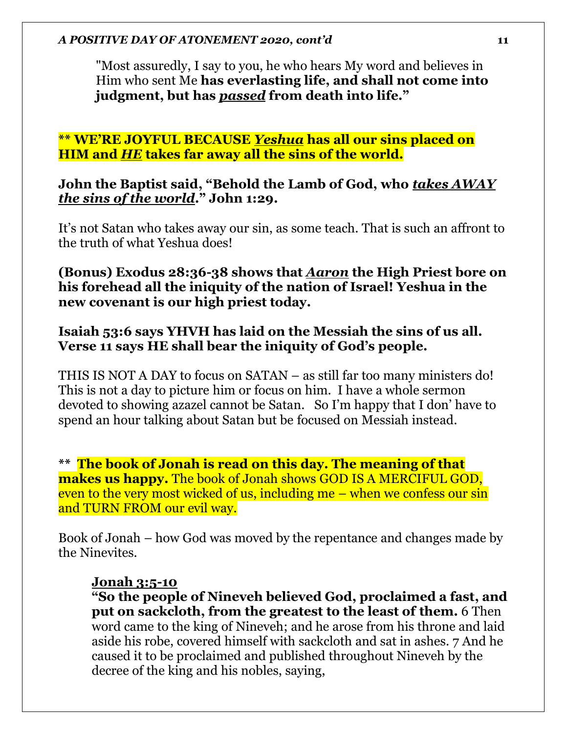"Most assuredly, I say to you, he who hears My word and believes in Him who sent Me **has everlasting life, and shall not come into judgment, but has** *passed* **from death into life."**

**\*\* WE'RE JOYFUL BECAUSE** *Yeshua* **has all our sins placed on HIM and** *HE* **takes far away all the sins of the world.**

### **John the Baptist said, "Behold the Lamb of God, who** *takes AWAY the sins of the world***." John 1:29.**

It's not Satan who takes away our sin, as some teach. That is such an affront to the truth of what Yeshua does!

**(Bonus) Exodus 28:36-38 shows that** *Aaron* **the High Priest bore on his forehead all the iniquity of the nation of Israel! Yeshua in the new covenant is our high priest today.** 

### **Isaiah 53:6 says YHVH has laid on the Messiah the sins of us all. Verse 11 says HE shall bear the iniquity of God's people.**

THIS IS NOT A DAY to focus on SATAN – as still far too many ministers do! This is not a day to picture him or focus on him. I have a whole sermon devoted to showing azazel cannot be Satan. So I'm happy that I don' have to spend an hour talking about Satan but be focused on Messiah instead.

**\*\* The book of Jonah is read on this day. The meaning of that makes us happy.** The book of Jonah shows GOD IS A MERCIFUL GOD, even to the very most wicked of us, including me – when we confess our sin and TURN FROM our evil way.

Book of Jonah – how God was moved by the repentance and changes made by the Ninevites.

### **Jonah 3:5-10**

**"So the people of Nineveh believed God, proclaimed a fast, and put on sackcloth, from the greatest to the least of them.** 6 Then word came to the king of Nineveh; and he arose from his throne and laid aside his robe, covered himself with sackcloth and sat in ashes. 7 And he caused it to be proclaimed and published throughout Nineveh by the decree of the king and his nobles, saying,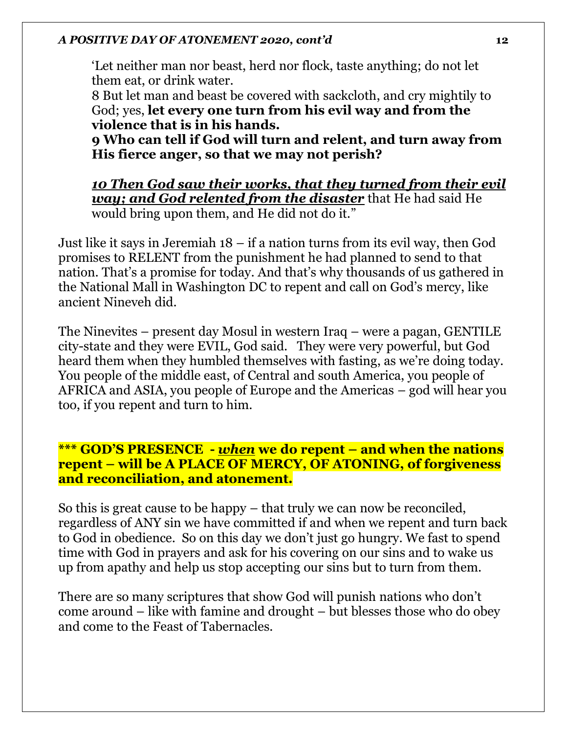'Let neither man nor beast, herd nor flock, taste anything; do not let them eat, or drink water.

8 But let man and beast be covered with sackcloth, and cry mightily to God; yes, **let every one turn from his evil way and from the violence that is in his hands.** 

**9 Who can tell if God will turn and relent, and turn away from His fierce anger, so that we may not perish?**

*10 Then God saw their works, that they turned from their evil way; and God relented from the disaster* that He had said He would bring upon them, and He did not do it."

Just like it says in Jeremiah 18 – if a nation turns from its evil way, then God promises to RELENT from the punishment he had planned to send to that nation. That's a promise for today. And that's why thousands of us gathered in the National Mall in Washington DC to repent and call on God's mercy, like ancient Nineveh did.

The Ninevites – present day Mosul in western Iraq – were a pagan, GENTILE city-state and they were EVIL, God said. They were very powerful, but God heard them when they humbled themselves with fasting, as we're doing today. You people of the middle east, of Central and south America, you people of AFRICA and ASIA, you people of Europe and the Americas – god will hear you too, if you repent and turn to him.

### **\*\*\* GOD'S PRESENCE -** *when* **we do repent – and when the nations repent – will be A PLACE OF MERCY, OF ATONING, of forgiveness and reconciliation, and atonement.**

So this is great cause to be happy – that truly we can now be reconciled, regardless of ANY sin we have committed if and when we repent and turn back to God in obedience. So on this day we don't just go hungry. We fast to spend time with God in prayers and ask for his covering on our sins and to wake us up from apathy and help us stop accepting our sins but to turn from them.

There are so many scriptures that show God will punish nations who don't come around – like with famine and drought – but blesses those who do obey and come to the Feast of Tabernacles.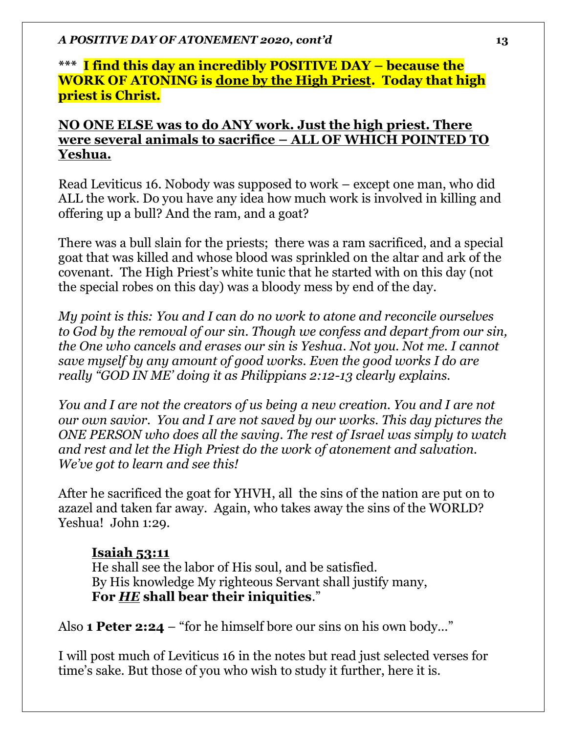# **\*\*\* I find this day an incredibly POSITIVE DAY – because the WORK OF ATONING is done by the High Priest. Today that high priest is Christ.**

# **NO ONE ELSE was to do ANY work. Just the high priest. There were several animals to sacrifice – ALL OF WHICH POINTED TO Yeshua.**

Read Leviticus 16. Nobody was supposed to work – except one man, who did ALL the work. Do you have any idea how much work is involved in killing and offering up a bull? And the ram, and a goat?

There was a bull slain for the priests; there was a ram sacrificed, and a special goat that was killed and whose blood was sprinkled on the altar and ark of the covenant. The High Priest's white tunic that he started with on this day (not the special robes on this day) was a bloody mess by end of the day.

*My point is this: You and I can do no work to atone and reconcile ourselves to God by the removal of our sin. Though we confess and depart from our sin, the One who cancels and erases our sin is Yeshua. Not you. Not me. I cannot save myself by any amount of good works. Even the good works I do are really "GOD IN ME' doing it as Philippians 2:12-13 clearly explains.* 

*You and I are not the creators of us being a new creation. You and I are not our own savior. You and I are not saved by our works. This day pictures the ONE PERSON who does all the saving. The rest of Israel was simply to watch and rest and let the High Priest do the work of atonement and salvation. We've got to learn and see this!* 

After he sacrificed the goat for YHVH, all the sins of the nation are put on to azazel and taken far away. Again, who takes away the sins of the WORLD? Yeshua! John 1:29.

# **Isaiah 53:11**

He shall see the labor of His soul, and be satisfied. By His knowledge My righteous Servant shall justify many, **For** *HE* **shall bear their iniquities**."

Also **1 Peter 2:24** – "for he himself bore our sins on his own body…"

I will post much of Leviticus 16 in the notes but read just selected verses for time's sake. But those of you who wish to study it further, here it is.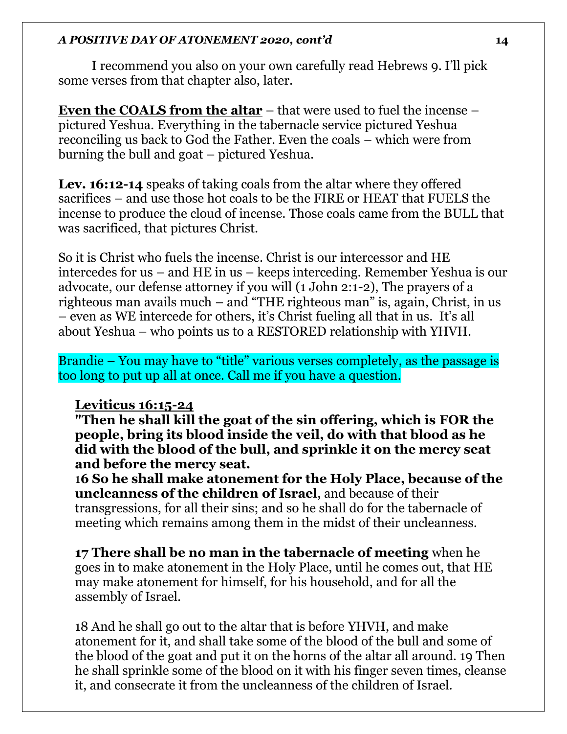I recommend you also on your own carefully read Hebrews 9. I'll pick some verses from that chapter also, later.

**Even the COALS from the altar** – that were used to fuel the incense – pictured Yeshua. Everything in the tabernacle service pictured Yeshua reconciling us back to God the Father. Even the coals – which were from burning the bull and goat – pictured Yeshua.

**Lev. 16:12-14** speaks of taking coals from the altar where they offered sacrifices – and use those hot coals to be the FIRE or HEAT that FUELS the incense to produce the cloud of incense. Those coals came from the BULL that was sacrificed, that pictures Christ.

So it is Christ who fuels the incense. Christ is our intercessor and HE intercedes for us – and HE in us – keeps interceding. Remember Yeshua is our advocate, our defense attorney if you will (1 John 2:1-2), The prayers of a righteous man avails much – and "THE righteous man" is, again, Christ, in us – even as WE intercede for others, it's Christ fueling all that in us. It's all about Yeshua – who points us to a RESTORED relationship with YHVH.

Brandie – You may have to "title" various verses completely, as the passage is too long to put up all at once. Call me if you have a question.

## **Leviticus 16:15-24**

**"Then he shall kill the goat of the sin offering, which is FOR the people, bring its blood inside the veil, do with that blood as he did with the blood of the bull, and sprinkle it on the mercy seat and before the mercy seat.**

1**6 So he shall make atonement for the Holy Place, because of the uncleanness of the children of Israel**, and because of their transgressions, for all their sins; and so he shall do for the tabernacle of meeting which remains among them in the midst of their uncleanness.

**17 There shall be no man in the tabernacle of meeting** when he goes in to make atonement in the Holy Place, until he comes out, that HE may make atonement for himself, for his household, and for all the assembly of Israel.

18 And he shall go out to the altar that is before YHVH, and make atonement for it, and shall take some of the blood of the bull and some of the blood of the goat and put it on the horns of the altar all around. 19 Then he shall sprinkle some of the blood on it with his finger seven times, cleanse it, and consecrate it from the uncleanness of the children of Israel.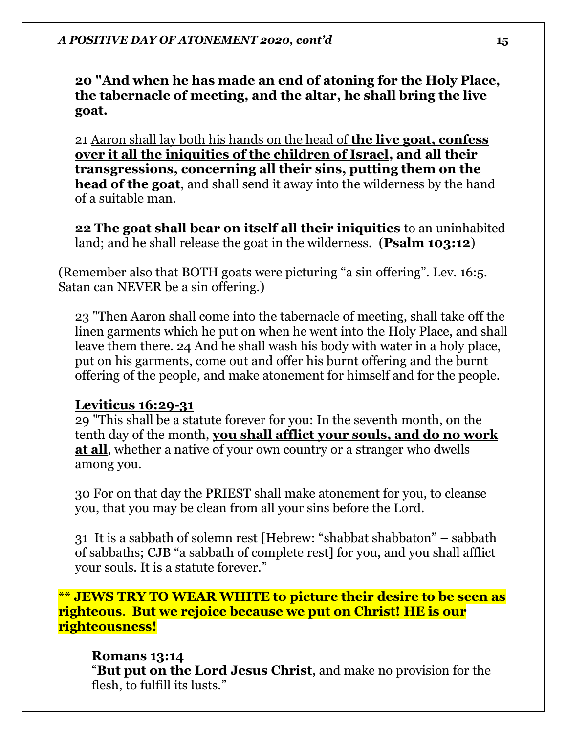**20 "And when he has made an end of atoning for the Holy Place, the tabernacle of meeting, and the altar, he shall bring the live goat.**

21 Aaron shall lay both his hands on the head of **the live goat, confess over it all the iniquities of the children of Israel, and all their transgressions, concerning all their sins, putting them on the head of the goat**, and shall send it away into the wilderness by the hand of a suitable man.

**22 The goat shall bear on itself all their iniquities** to an uninhabited land; and he shall release the goat in the wilderness. (**Psalm 103:12**)

(Remember also that BOTH goats were picturing "a sin offering". Lev. 16:5. Satan can NEVER be a sin offering.)

23 "Then Aaron shall come into the tabernacle of meeting, shall take off the linen garments which he put on when he went into the Holy Place, and shall leave them there. 24 And he shall wash his body with water in a holy place, put on his garments, come out and offer his burnt offering and the burnt offering of the people, and make atonement for himself and for the people.

### **Leviticus 16:29-31**

29 "This shall be a statute forever for you: In the seventh month, on the tenth day of the month, **you shall afflict your souls, and do no work at all**, whether a native of your own country or a stranger who dwells among you.

30 For on that day the PRIEST shall make atonement for you, to cleanse you, that you may be clean from all your sins before the Lord.

31 It is a sabbath of solemn rest [Hebrew: "shabbat shabbaton" – sabbath of sabbaths; CJB "a sabbath of complete rest] for you, and you shall afflict your souls. It is a statute forever."

**\*\* JEWS TRY TO WEAR WHITE to picture their desire to be seen as righteous**. **But we rejoice because we put on Christ! HE is our righteousness!** 

#### **Romans 13:14**

"**But put on the Lord Jesus Christ**, and make no provision for the flesh, to fulfill its lusts."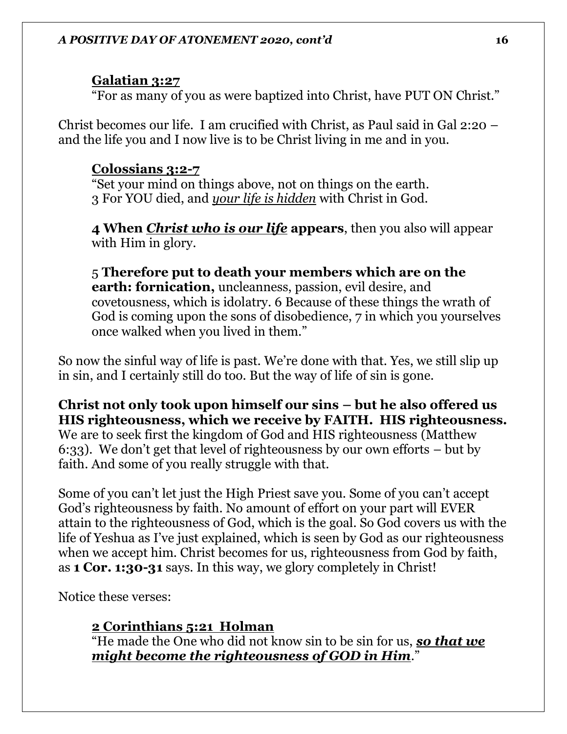# **Galatian 3:27**

"For as many of you as were baptized into Christ, have PUT ON Christ."

Christ becomes our life. I am crucified with Christ, as Paul said in Gal 2:20 – and the life you and I now live is to be Christ living in me and in you.

## **Colossians 3:2-7**

"Set your mind on things above, not on things on the earth. 3 For YOU died, and *your life is hidden* with Christ in God.

**4 When** *Christ who is our life* **appears**, then you also will appear with Him in glory.

5 **Therefore put to death your members which are on the earth: fornication,** uncleanness, passion, evil desire, and covetousness, which is idolatry. 6 Because of these things the wrath of God is coming upon the sons of disobedience, 7 in which you yourselves once walked when you lived in them."

So now the sinful way of life is past. We're done with that. Yes, we still slip up in sin, and I certainly still do too. But the way of life of sin is gone.

**Christ not only took upon himself our sins – but he also offered us HIS righteousness, which we receive by FAITH. HIS righteousness.**  We are to seek first the kingdom of God and HIS righteousness (Matthew 6:33). We don't get that level of righteousness by our own efforts – but by faith. And some of you really struggle with that.

Some of you can't let just the High Priest save you. Some of you can't accept God's righteousness by faith. No amount of effort on your part will EVER attain to the righteousness of God, which is the goal. So God covers us with the life of Yeshua as I've just explained, which is seen by God as our righteousness when we accept him. Christ becomes for us, righteousness from God by faith, as **1 Cor. 1:30-31** says. In this way, we glory completely in Christ!

Notice these verses:

**2 Corinthians 5:21 Holman**  "He made the One who did not know sin to be sin for us, *so that we might become the righteousness of GOD in Him*."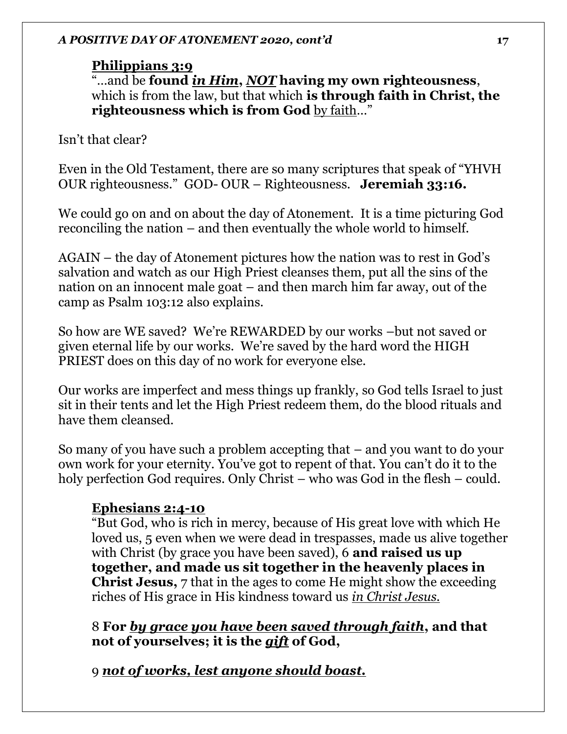#### **Philippians 3:9**

"…and be **found** *in Him***,** *NOT* **having my own righteousness**, which is from the law, but that which **is through faith in Christ, the righteousness which is from God** by faith…"

Isn't that clear?

Even in the Old Testament, there are so many scriptures that speak of "YHVH OUR righteousness." GOD- OUR – Righteousness. **Jeremiah 33:16.**

We could go on and on about the day of Atonement. It is a time picturing God reconciling the nation – and then eventually the whole world to himself.

AGAIN – the day of Atonement pictures how the nation was to rest in God's salvation and watch as our High Priest cleanses them, put all the sins of the nation on an innocent male goat – and then march him far away, out of the camp as Psalm 103:12 also explains.

So how are WE saved? We're REWARDED by our works –but not saved or given eternal life by our works. We're saved by the hard word the HIGH PRIEST does on this day of no work for everyone else.

Our works are imperfect and mess things up frankly, so God tells Israel to just sit in their tents and let the High Priest redeem them, do the blood rituals and have them cleansed.

So many of you have such a problem accepting that – and you want to do your own work for your eternity. You've got to repent of that. You can't do it to the holy perfection God requires. Only Christ – who was God in the flesh – could.

### **Ephesians 2:4-10**

"But God, who is rich in mercy, because of His great love with which He loved us, 5 even when we were dead in trespasses, made us alive together with Christ (by grace you have been saved), 6 **and raised us up together, and made us sit together in the heavenly places in Christ Jesus,** 7 that in the ages to come He might show the exceeding riches of His grace in His kindness toward us *in Christ Jesus.* 

8 **For** *by grace you have been saved through faith***, and that not of yourselves; it is the** *gift* **of God,** 

9 *not of works, lest anyone should boast.*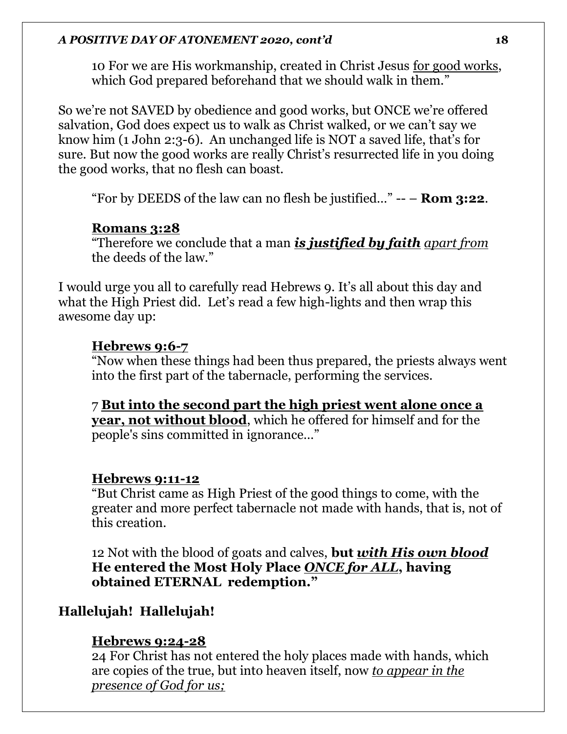10 For we are His workmanship, created in Christ Jesus for good works, which God prepared beforehand that we should walk in them."

So we're not SAVED by obedience and good works, but ONCE we're offered salvation, God does expect us to walk as Christ walked, or we can't say we know him (1 John 2:3-6). An unchanged life is NOT a saved life, that's for sure. But now the good works are really Christ's resurrected life in you doing the good works, that no flesh can boast.

"For by DEEDS of the law can no flesh be justified…" -- – **Rom 3:22**.

### **Romans 3:28**

"Therefore we conclude that a man *is justified by faith apart from* the deeds of the law."

I would urge you all to carefully read Hebrews 9. It's all about this day and what the High Priest did. Let's read a few high-lights and then wrap this awesome day up:

### **Hebrews 9:6-7**

"Now when these things had been thus prepared, the priests always went into the first part of the tabernacle, performing the services.

7 **But into the second part the high priest went alone once a year, not without blood**, which he offered for himself and for the people's sins committed in ignorance…"

### **Hebrews 9:11-12**

"But Christ came as High Priest of the good things to come, with the greater and more perfect tabernacle not made with hands, that is, not of this creation.

12 Not with the blood of goats and calves, **but** *with His own blood* **He entered the Most Holy Place** *ONCE for ALL***, having obtained ETERNAL redemption."**

## **Hallelujah! Hallelujah!**

### **Hebrews 9:24-28**

24 For Christ has not entered the holy places made with hands, which are copies of the true, but into heaven itself, now *to appear in the presence of God for us;*